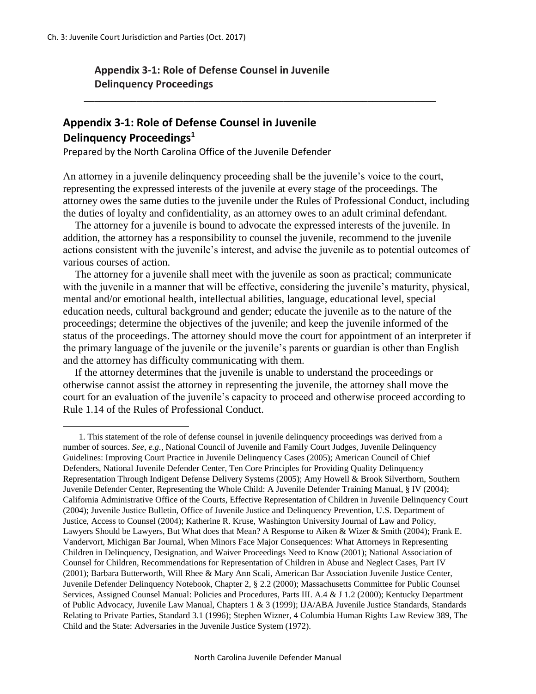$\overline{a}$ 

## **Appendix 3-1: Role of Defense Counsel in Juvenile Delinquency Proceedings**

## **Appendix 3-1: Role of Defense Counsel in Juvenile Delinquency Proceedings<sup>1</sup>**

Prepared by the North Carolina Office of the Juvenile Defender

An attorney in a juvenile delinquency proceeding shall be the juvenile's voice to the court, representing the expressed interests of the juvenile at every stage of the proceedings. The attorney owes the same duties to the juvenile under the Rules of Professional Conduct, including the duties of loyalty and confidentiality, as an attorney owes to an adult criminal defendant.

\_\_\_\_\_\_\_\_\_\_\_\_\_\_\_\_\_\_\_\_\_\_\_\_\_\_\_\_\_\_\_\_\_\_\_\_\_\_\_\_\_\_\_\_\_\_\_\_\_\_\_\_\_\_\_\_\_\_\_\_\_\_\_\_\_\_\_

The attorney for a juvenile is bound to advocate the expressed interests of the juvenile. In addition, the attorney has a responsibility to counsel the juvenile, recommend to the juvenile actions consistent with the juvenile's interest, and advise the juvenile as to potential outcomes of various courses of action.

The attorney for a juvenile shall meet with the juvenile as soon as practical; communicate with the juvenile in a manner that will be effective, considering the juvenile's maturity, physical, mental and/or emotional health, intellectual abilities, language, educational level, special education needs, cultural background and gender; educate the juvenile as to the nature of the proceedings; determine the objectives of the juvenile; and keep the juvenile informed of the status of the proceedings. The attorney should move the court for appointment of an interpreter if the primary language of the juvenile or the juvenile's parents or guardian is other than English and the attorney has difficulty communicating with them.

If the attorney determines that the juvenile is unable to understand the proceedings or otherwise cannot assist the attorney in representing the juvenile, the attorney shall move the court for an evaluation of the juvenile's capacity to proceed and otherwise proceed according to Rule 1.14 of the Rules of Professional Conduct.

<sup>1.</sup> This statement of the role of defense counsel in juvenile delinquency proceedings was derived from a number of sources. *See, e.g.*, National Council of Juvenile and Family Court Judges, Juvenile Delinquency Guidelines: Improving Court Practice in Juvenile Delinquency Cases (2005); American Council of Chief Defenders, National Juvenile Defender Center, Ten Core Principles for Providing Quality Delinquency Representation Through Indigent Defense Delivery Systems (2005); Amy Howell & Brook Silverthorn, Southern Juvenile Defender Center, Representing the Whole Child: A Juvenile Defender Training Manual, § IV (2004); California Administrative Office of the Courts, Effective Representation of Children in Juvenile Delinquency Court (2004); Juvenile Justice Bulletin, Office of Juvenile Justice and Delinquency Prevention, U.S. Department of Justice, Access to Counsel (2004); Katherine R. Kruse, Washington University Journal of Law and Policy, Lawyers Should be Lawyers, But What does that Mean? A Response to Aiken & Wizer & Smith (2004); Frank E. Vandervort, Michigan Bar Journal, When Minors Face Major Consequences: What Attorneys in Representing Children in Delinquency, Designation, and Waiver Proceedings Need to Know (2001); National Association of Counsel for Children, Recommendations for Representation of Children in Abuse and Neglect Cases, Part IV (2001); Barbara Butterworth, Will Rhee & Mary Ann Scali, American Bar Association Juvenile Justice Center, Juvenile Defender Delinquency Notebook, Chapter 2, § 2.2 (2000); Massachusetts Committee for Public Counsel Services, Assigned Counsel Manual: Policies and Procedures, Parts III. A.4 & J 1.2 (2000); Kentucky Department of Public Advocacy, Juvenile Law Manual, Chapters 1 & 3 (1999); IJA/ABA Juvenile Justice Standards, Standards Relating to Private Parties, Standard 3.1 (1996); Stephen Wizner, 4 Columbia Human Rights Law Review 389, The Child and the State: Adversaries in the Juvenile Justice System (1972).